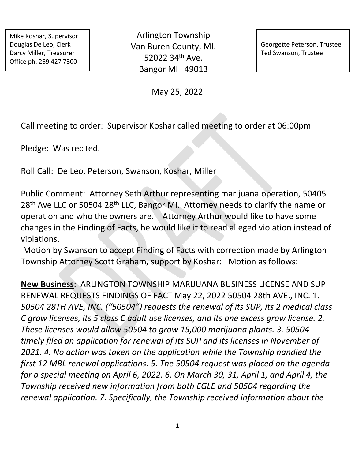Mike Koshar, Supervisor Douglas De Leo, Clerk Darcy Miller, Treasurer Office ph. 269 427 7300

Arlington Township Van Buren County, MI. 52022 34th Ave. Bangor MI 49013

Georgette Peterson, Trustee Ted Swanson, Trustee

May 25, 2022

Call meeting to order: Supervisor Koshar called meeting to order at 06:00pm

Pledge: Was recited.

Roll Call: De Leo, Peterson, Swanson, Koshar, Miller

Public Comment: Attorney Seth Arthur representing marijuana operation, 50405 28<sup>th</sup> Ave LLC or 50504 28<sup>th</sup> LLC, Bangor MI. Attorney needs to clarify the name or operation and who the owners are. Attorney Arthur would like to have some changes in the Finding of Facts, he would like it to read alleged violation instead of violations.

Motion by Swanson to accept Finding of Facts with correction made by Arlington Township Attorney Scott Graham, support by Koshar: Motion as follows:

**New Business**: ARLINGTON TOWNSHIP MARIJUANA BUSINESS LICENSE AND SUP RENEWAL REQUESTS FINDINGS OF FACT May 22, 2022 50504 28th AVE., INC. 1. *50504 28TH AVE, INC. ("50504") requests the renewal of its SUP, its 2 medical class C grow licenses, its 5 class C adult use licenses, and its one excess grow license. 2. These licenses would allow 50504 to grow 15,000 marijuana plants. 3. 50504 timely filed an application for renewal of its SUP and its licenses in November of 2021. 4. No action was taken on the application while the Township handled the first 12 MBL renewal applications. 5. The 50504 request was placed on the agenda for a special meeting on April 6, 2022. 6. On March 30, 31, April 1, and April 4, the Township received new information from both EGLE and 50504 regarding the renewal application. 7. Specifically, the Township received information about the*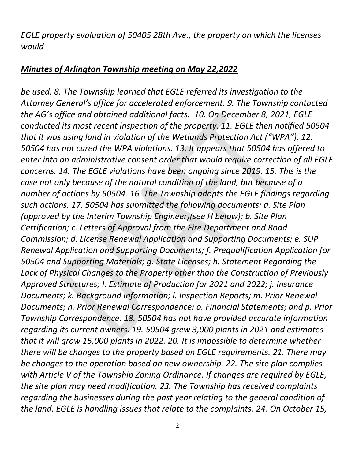*EGLE property evaluation of 50405 28th Ave., the property on which the licenses would* 

### *Minutes of Arlington Township meeting on May 22,2022*

*be used. 8. The Township learned that EGLE referred its investigation to the Attorney General's office for accelerated enforcement. 9. The Township contacted the AG's office and obtained additional facts. 10. On December 8, 2021, EGLE conducted its most recent inspection of the property. 11. EGLE then notified 50504 that it was using land in violation of the Wetlands Protection Act ("WPA"). 12. 50504 has not cured the WPA violations. 13. It appears that 50504 has offered to enter into an administrative consent order that would require correction of all EGLE concerns. 14. The EGLE violations have been ongoing since 2019. 15. This is the case not only because of the natural condition of the land, but because of a number of actions by 50504. 16. The Township adopts the EGLE findings regarding such actions. 17. 50504 has submitted the following documents: a. Site Plan (approved by the Interim Township Engineer)(see H below); b. Site Plan Certification; c. Letters of Approval from the Fire Department and Road Commission; d. License Renewal Application and Supporting Documents; e. SUP Renewal Application and Supporting Documents; f. Prequalification Application for 50504 and Supporting Materials; g. State Licenses; h. Statement Regarding the Lack of Physical Changes to the Property other than the Construction of Previously Approved Structures; I. Estimate of Production for 2021 and 2022; j. Insurance Documents; k. Background Information; l. Inspection Reports; m. Prior Renewal Documents; n. Prior Renewal Correspondence; o. Financial Statements; and p. Prior Township Correspondence. 18. 50504 has not have provided accurate information regarding its current owners. 19. 50504 grew 3,000 plants in 2021 and estimates that it will grow 15,000 plants in 2022. 20. It is impossible to determine whether there will be changes to the property based on EGLE requirements. 21. There may be changes to the operation based on new ownership. 22. The site plan complies with Article V of the Township Zoning Ordinance. If changes are required by EGLE, the site plan may need modification. 23. The Township has received complaints regarding the businesses during the past year relating to the general condition of the land. EGLE is handling issues that relate to the complaints. 24. On October 15,*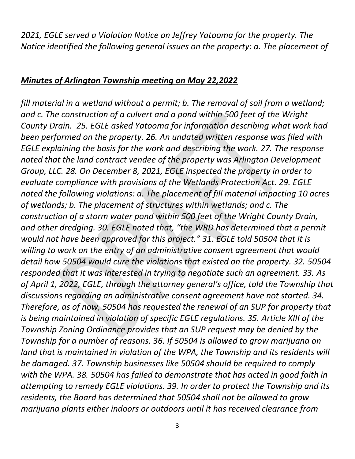*2021, EGLE served a Violation Notice on Jeffrey Yatooma for the property. The Notice identified the following general issues on the property: a. The placement of* 

#### *Minutes of Arlington Township meeting on May 22,2022*

*fill material in a wetland without a permit; b. The removal of soil from a wetland; and c. The construction of a culvert and a pond within 500 feet of the Wright County Drain. 25. EGLE asked Yatooma for information describing what work had been performed on the property. 26. An undated written response was filed with EGLE explaining the basis for the work and describing the work. 27. The response noted that the land contract vendee of the property was Arlington Development Group, LLC. 28. On December 8, 2021, EGLE inspected the property in order to evaluate compliance with provisions of the Wetlands Protection Act. 29. EGLE noted the following violations: a. The placement of fill material impacting 10 acres of wetlands; b. The placement of structures within wetlands; and c. The construction of a storm water pond within 500 feet of the Wright County Drain, and other dredging. 30. EGLE noted that, "the WRD has determined that a permit would not have been approved for this project." 31. EGLE told 50504 that it is willing to work on the entry of an administrative consent agreement that would detail how 50504 would cure the violations that existed on the property. 32. 50504 responded that it was interested in trying to negotiate such an agreement. 33. As of April 1, 2022, EGLE, through the attorney general's office, told the Township that discussions regarding an administrative consent agreement have not started. 34. Therefore, as of now, 50504 has requested the renewal of an SUP for property that is being maintained in violation of specific EGLE regulations. 35. Article XIII of the Township Zoning Ordinance provides that an SUP request may be denied by the Township for a number of reasons. 36. If 50504 is allowed to grow marijuana on land that is maintained in violation of the WPA, the Township and its residents will be damaged. 37. Township businesses like 50504 should be required to comply with the WPA. 38. 50504 has failed to demonstrate that has acted in good faith in attempting to remedy EGLE violations. 39. In order to protect the Township and its residents, the Board has determined that 50504 shall not be allowed to grow marijuana plants either indoors or outdoors until it has received clearance from*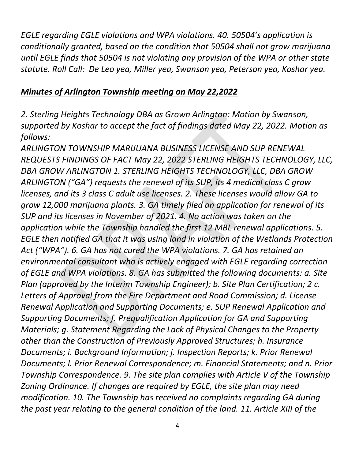*EGLE regarding EGLE violations and WPA violations. 40. 50504's application is conditionally granted, based on the condition that 50504 shall not grow marijuana until EGLE finds that 50504 is not violating any provision of the WPA or other state statute. Roll Call: De Leo yea, Miller yea, Swanson yea, Peterson yea, Koshar yea.* 

#### *Minutes of Arlington Township meeting on May 22,2022*

*2. Sterling Heights Technology DBA as Grown Arlington: Motion by Swanson, supported by Koshar to accept the fact of findings dated May 22, 2022. Motion as follows:* 

*ARLINGTON TOWNSHIP MARIJUANA BUSINESS LICENSE AND SUP RENEWAL REQUESTS FINDINGS OF FACT May 22, 2022 STERLING HEIGHTS TECHNOLOGY, LLC, DBA GROW ARLINGTON 1. STERLING HEIGHTS TECHNOLOGY, LLC, DBA GROW ARLINGTON ("GA") requests the renewal of its SUP, its 4 medical class C grow licenses, and its 3 class C adult use licenses. 2. These licenses would allow GA to grow 12,000 marijuana plants. 3. GA timely filed an application for renewal of its SUP and its licenses in November of 2021. 4. No action was taken on the application while the Township handled the first 12 MBL renewal applications. 5. EGLE then notified GA that it was using land in violation of the Wetlands Protection Act ("WPA"). 6. GA has not cured the WPA violations. 7. GA has retained an environmental consultant who is actively engaged with EGLE regarding correction of EGLE and WPA violations. 8. GA has submitted the following documents: a. Site Plan (approved by the Interim Township Engineer); b. Site Plan Certification; 2 c. Letters of Approval from the Fire Department and Road Commission; d. License Renewal Application and Supporting Documents; e. SUP Renewal Application and Supporting Documents; f. Prequalification Application for GA and Supporting Materials; g. Statement Regarding the Lack of Physical Changes to the Property other than the Construction of Previously Approved Structures; h. Insurance Documents; i. Background Information; j. Inspection Reports; k. Prior Renewal Documents; l. Prior Renewal Correspondence; m. Financial Statements; and n. Prior Township Correspondence. 9. The site plan complies with Article V of the Township Zoning Ordinance. If changes are required by EGLE, the site plan may need modification. 10. The Township has received no complaints regarding GA during the past year relating to the general condition of the land. 11. Article XIII of the*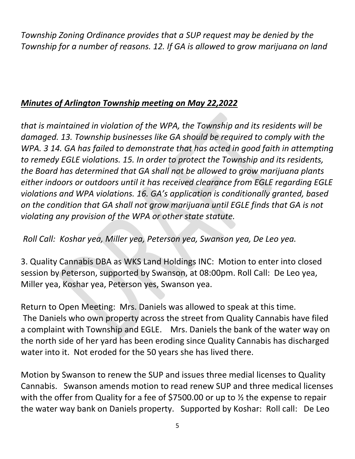*Township Zoning Ordinance provides that a SUP request may be denied by the Township for a number of reasons. 12. If GA is allowed to grow marijuana on land* 

## *Minutes of Arlington Township meeting on May 22,2022*

*that is maintained in violation of the WPA, the Township and its residents will be damaged. 13. Township businesses like GA should be required to comply with the WPA.* 3 14. GA has failed to demonstrate that has acted in good faith in attempting *to remedy EGLE violations. 15. In order to protect the Township and its residents, the Board has determined that GA shall not be allowed to grow marijuana plants either indoors or outdoors until it has received clearance from EGLE regarding EGLE violations and WPA violations. 16. GA's application is conditionally granted, based on the condition that GA shall not grow marijuana until EGLE finds that GA is not violating any provision of the WPA or other state statute.* 

*Roll Call: Koshar yea, Miller yea, Peterson yea, Swanson yea, De Leo yea.* 

3. Quality Cannabis DBA as WKS Land Holdings INC: Motion to enter into closed session by Peterson, supported by Swanson, at 08:00pm. Roll Call: De Leo yea, Miller yea, Koshar yea, Peterson yes, Swanson yea.

Return to Open Meeting: Mrs. Daniels was allowed to speak at this time. The Daniels who own property across the street from Quality Cannabis have filed a complaint with Township and EGLE. Mrs. Daniels the bank of the water way on the north side of her yard has been eroding since Quality Cannabis has discharged water into it. Not eroded for the 50 years she has lived there.

Motion by Swanson to renew the SUP and issues three medial licenses to Quality Cannabis. Swanson amends motion to read renew SUP and three medical licenses with the offer from Quality for a fee of \$7500.00 or up to  $\frac{1}{2}$  the expense to repair the water way bank on Daniels property. Supported by Koshar: Roll call: De Leo